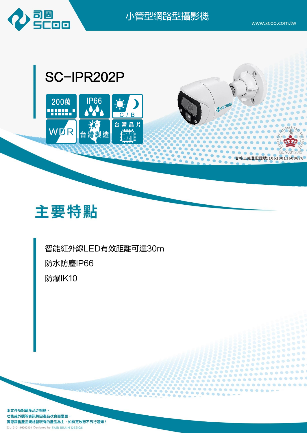

小管型網路型攝影機

 $0 0 0 0 0 0 0 0$ 





智能紅外線LED有效距離可達30m 防水防塵IP66 防爆IK10

本文件所記載產品之規格、 功能或外觀等資訊將因產品改良而變更, 實際銷售產品規格皆現有的產品為主,如有更改恕不另行通知! CL10101-JH202104 Designed by FAIR BRAIN DESIGN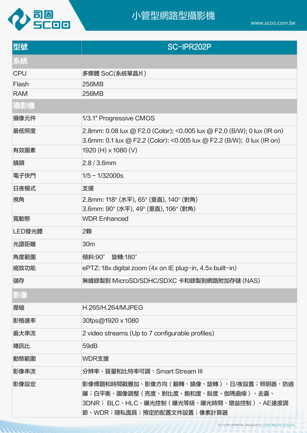

arrig

www.scoo.com.tw

| 型號         | SC-IPR202P                                                                                                                                                        |
|------------|-------------------------------------------------------------------------------------------------------------------------------------------------------------------|
| 系統         |                                                                                                                                                                   |
| <b>CPU</b> | 多媒體 SoC(系統單晶片)                                                                                                                                                    |
| Flash      | 256MB                                                                                                                                                             |
| <b>RAM</b> | 256MB                                                                                                                                                             |
| 攝影機        |                                                                                                                                                                   |
| 攝像元件       | 1/3.1" Progressive CMOS                                                                                                                                           |
| 最低照度       | 2.8mm: 0.08 lux @ F2.0 (Color); <0.005 lux @ F2.0 (B/W); 0 lux (IR on)<br>3.6mm: 0.1 lux @ F2.2 (Color): <0.005 lux @ F2.2 (B/W); 0 lux (IR on)                   |
| 有效圖素       | 1920 (H) x 1080 (V)                                                                                                                                               |
| 鏡頭         | $2.8/3.6$ mm                                                                                                                                                      |
| 電子快門       | $1/5 \sim 1/32000s$                                                                                                                                               |
| 日夜模式       | 支援                                                                                                                                                                |
| 視角         | 2.8mm: 118° (水平), 65° (垂直), 140° (對角)<br>3.6mm: 90° (水平), 49° (垂直), 106° (對角)                                                                                     |
| 寬動態        | <b>WDR Enhanced</b>                                                                                                                                               |
| LED發光體     | 2顆                                                                                                                                                                |
| 光譜距離       | 30 <sub>m</sub>                                                                                                                                                   |
| 角度範圍       | 旋轉:180°<br>傾斜:90°                                                                                                                                                 |
| 縮放功能       | ePTZ: 18x digital zoom (4x on IE plug-in, 4.5x built-in)                                                                                                          |
| 儲存         | 無縫錄製到 MicroSD/SDHC/SDXC 卡和錄製到網路附加存儲 (NAS)                                                                                                                         |
| 影像         |                                                                                                                                                                   |
| 壓縮         | H.265/H.264/MJPEG                                                                                                                                                 |
| 影格速率       | 30fps@1920 x 1080                                                                                                                                                 |
| 最大串流       | 2 video streams (Up to 7 configurable profiles)                                                                                                                   |
| 雜訊比        | 59dB                                                                                                                                                              |
| 動態範圍       | WDR支援                                                                                                                                                             |
| 影像串流       | 分辨率、質量和比特率可調,Smart Stream III                                                                                                                                     |
| 影像設定       | 影像標題和時間戳疊加、影像方向(翻轉、鏡像、旋轉 )、日/夜設置;照明器,防過 <br> 曝;白平衡、圖像調整 ( 亮度、對比度、飽和度、銳度、伽瑪曲線 ) 、去霧、<br> 3DNR; BLC、HLC、曝光控制(曝光等級、曝光時間、增益控制 )、AE速度調 <br> 節、WDR;隱私面具;預定的配置文件設置;像素計算器 |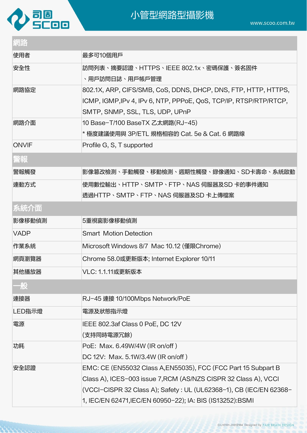

| لعالم المالي |                                                                                                                                                                        |
|--------------|------------------------------------------------------------------------------------------------------------------------------------------------------------------------|
| 網路           |                                                                                                                                                                        |
| 使用者          | 最多可10個用戶                                                                                                                                                               |
| 安全性          | 訪問列表、摘要認證、HTTPS、IEEE 802.1x、密碼保護、簽名固件<br>、用户訪問日誌、用戶帳戶管理                                                                                                                |
| 網路協定         | 802.1X, ARP, CIFS/SMB, CoS, DDNS, DHCP, DNS, FTP, HTTP, HTTPS,<br>ICMP, IGMP, IPv 4, IPv 6, NTP, PPPoE, QoS, TCP/IP, RTSP/RTP/RTCP,<br>SMTP, SNMP, SSL, TLS, UDP, UPnP |
| 網路介面         | 10 Base-T/100 BaseTX 乙太網路(RJ-45)<br>* 極度建議使用與 3P/ETL 規格相容的 Cat. 5e & Cat. 6 網路線                                                                                        |
| <b>ONVIF</b> | Profile G, S, T supported                                                                                                                                              |
| 警報           |                                                                                                                                                                        |
| 警報觸發         | 影像篡改檢測、手動觸發、移動檢測、週期性觸發、錄像通知、SD卡壽命、系統啟動                                                                                                                                 |
| 連動方式         | 使用數位輸出、HTTP、SMTP、FTP、NAS 伺服器及SD 卡的事件通知<br>透過HTTP、SMTP、FTP、NAS 伺服器及SD 卡上傳檔案                                                                                             |
| 系統介面         |                                                                                                                                                                        |
| 影像移動偵測       | 5重視窗影像移動偵測                                                                                                                                                             |
| <b>VADP</b>  | <b>Smart Motion Detection</b>                                                                                                                                          |
| 作業系統         | Microsoft Windows 8/7 Mac 10.12 (僅限Chrome)                                                                                                                             |
| 網頁瀏覽器        | Chrome 58.0或更新版本; Internet Explorer 10/11                                                                                                                              |
| 其他播放器        | VLC: 1.1.11或更新版本                                                                                                                                                       |
| 一般           |                                                                                                                                                                        |
| 連接器          | RJ-45 連接 10/100Mbps Network/PoE                                                                                                                                        |
| LED指示燈       | 電源及狀態指示燈                                                                                                                                                               |
| 電源           | IEEE 802.3af Class 0 PoE, DC 12V<br>(支持同時電源冗餘)                                                                                                                         |
| 功耗           | PoE: Max. 6.49W/4W (IR on/off)<br>DC 12V: Max. 5.1W/3.4W (IR on/off)                                                                                                   |
| 安全認證         | EMC: CE (EN55032 Class A, EN55035), FCC (FCC Part 15 Subpart B                                                                                                         |
|              | Class A), ICES-003 issue 7, RCM (AS/NZS CISPR 32 Class A), VCCI<br>(VCCI-CISPR 32 Class A);            Safety : UL (UL62368-1), CB (IEC/EN 62368-                      |

1, IEC/EN 62471,IEC/EN 60950-22); IA: BIS (IS13252):BSMI